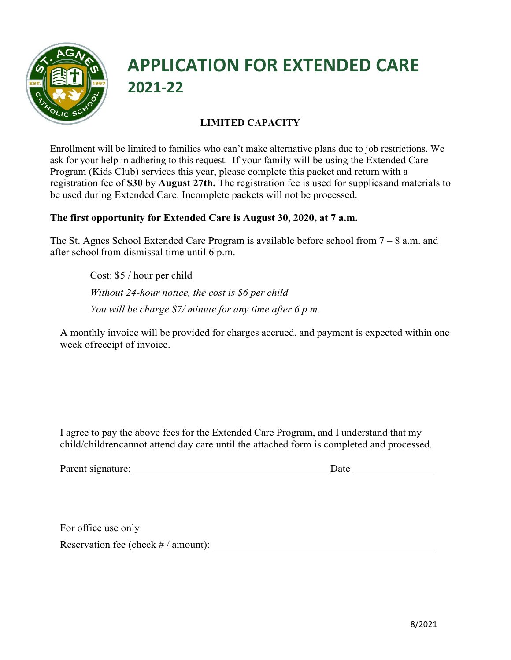

## **APPLICATION FOR EXTENDED CARE 2021-22**

### **LIMITED CAPACITY**

Enrollment will be limited to families who can't make alternative plans due to job restrictions. We ask for your help in adhering to this request. If your family will be using the Extended Care Program (Kids Club) services this year, please complete this packet and return with a registration fee of **\$30** by **August 27th.** The registration fee is used for suppliesand materials to be used during Extended Care. Incomplete packets will not be processed.

#### **The first opportunity for Extended Care is August 30, 2020, at 7 a.m.**

The St. Agnes School Extended Care Program is available before school from 7 – 8 a.m. and after school from dismissal time until 6 p.m.

> Cost: \$5 / hour per child *Without 24-hour notice, the cost is \$6 per child You will be charge \$7/ minute for any time after 6 p.m.*

A monthly invoice will be provided for charges accrued, and payment is expected within one week ofreceipt of invoice.

I agree to pay the above fees for the Extended Care Program, and I understand that my child/childrencannot attend day care until the attached form is completed and processed.

| Parent signature: |
|-------------------|
|                   |

**Parameter** signature: Date

For office use only

Reservation fee (check  $\#/$  amount):